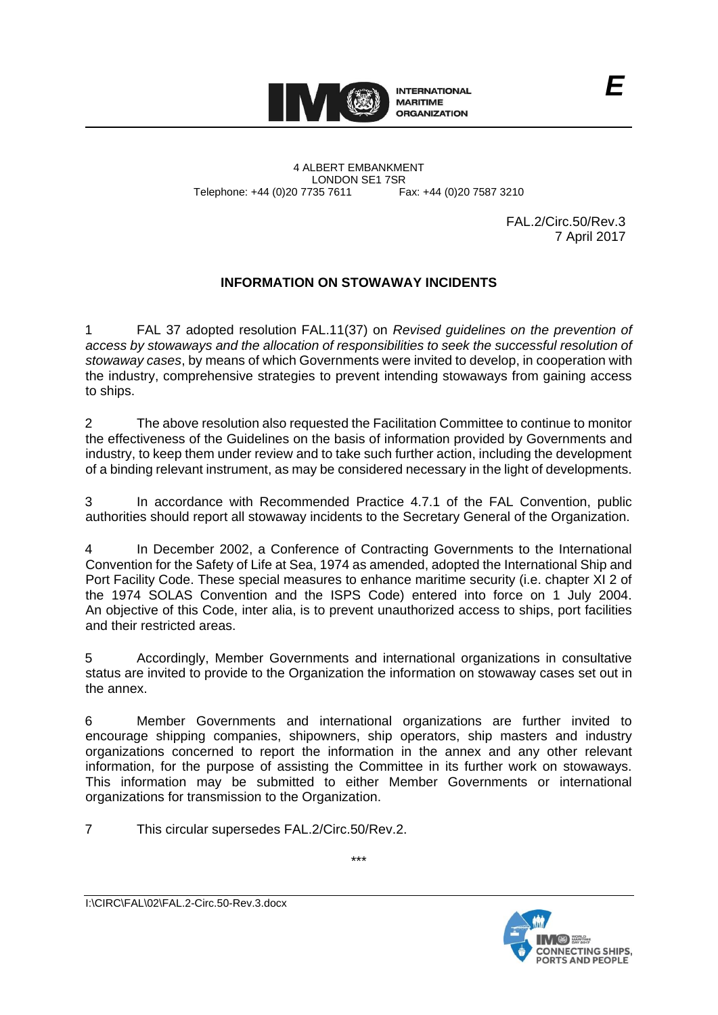

4 ALBERT EMBANKMENT Telephone: +44 (0)20 7735 7611

LONDON SE1 7SR<br>735 7611 Fax: +44 (0)20 7587 3210

FAL.2/Circ.50/Rev.3 7 April 2017

## **INFORMATION ON STOWAWAY INCIDENTS**

1 FAL 37 adopted resolution FAL.11(37) on *Revised guidelines on the prevention of access by stowaways and the allocation of responsibilities to seek the successful resolution of stowaway cases*, by means of which Governments were invited to develop, in cooperation with the industry, comprehensive strategies to prevent intending stowaways from gaining access to ships.

2 The above resolution also requested the Facilitation Committee to continue to monitor the effectiveness of the Guidelines on the basis of information provided by Governments and industry, to keep them under review and to take such further action, including the development of a binding relevant instrument, as may be considered necessary in the light of developments.

3 In accordance with Recommended Practice 4.7.1 of the FAL Convention, public authorities should report all stowaway incidents to the Secretary General of the Organization.

4 In December 2002, a Conference of Contracting Governments to the International Convention for the Safety of Life at Sea, 1974 as amended, adopted the International Ship and Port Facility Code. These special measures to enhance maritime security (i.e. chapter XI 2 of the 1974 SOLAS Convention and the ISPS Code) entered into force on 1 July 2004. An objective of this Code, inter alia, is to prevent unauthorized access to ships, port facilities and their restricted areas.

5 Accordingly, Member Governments and international organizations in consultative status are invited to provide to the Organization the information on stowaway cases set out in the annex.

6 Member Governments and international organizations are further invited to encourage shipping companies, shipowners, ship operators, ship masters and industry organizations concerned to report the information in the annex and any other relevant information, for the purpose of assisting the Committee in its further work on stowaways. This information may be submitted to either Member Governments or international organizations for transmission to the Organization.

7 This circular supersedes FAL.2/Circ.50/Rev.2.